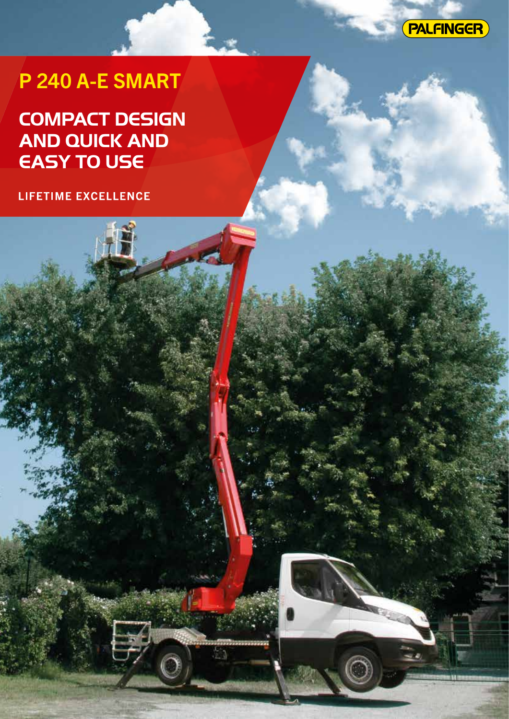

# P 240 A-E SMART

# **COMPACT DESIGN AND QUICK AND EASY TO USE**

LIFETIME EXCELLENCE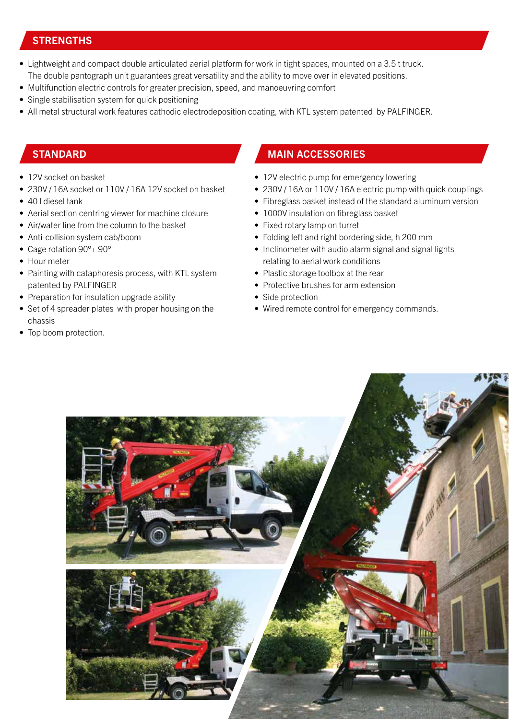#### **STRENGTHS**

- Lightweight and compact double articulated aerial platform for work in tight spaces, mounted on a 3.5 t truck. The double pantograph unit guarantees great versatility and the ability to move over in elevated positions.
- Multifunction electric controls for greater precision, speed, and manoeuvring comfort
- Single stabilisation system for quick positioning
- All metal structural work features cathodic electrodeposition coating, with KTL system patented by PALFINGER.

- 12V socket on basket
- 230V / 16A socket or 110V / 16A 12V socket on basket
- 40 l diesel tank
- Aerial section centring viewer for machine closure
- Air/water line from the column to the basket
- Anti-collision system cab/boom
- Cage rotation 90°+ 90°
- Hour meter
- Painting with cataphoresis process, with KTL system patented by PALFINGER
- Preparation for insulation upgrade ability
- Set of 4 spreader plates with proper housing on the chassis
- Top boom protection.

#### STANDARD MAIN ACCESSORIES

- 12V electric pump for emergency lowering
- 230V / 16A or 110V / 16A electric pump with quick couplings
- Fibreglass basket instead of the standard aluminum version
- 1000V insulation on fibreglass basket
- Fixed rotary lamp on turret
- Folding left and right bordering side, h 200 mm
- Inclinometer with audio alarm signal and signal lights relating to aerial work conditions
- Plastic storage toolbox at the rear
- Protective brushes for arm extension
- Side protection
- Wired remote control for emergency commands.

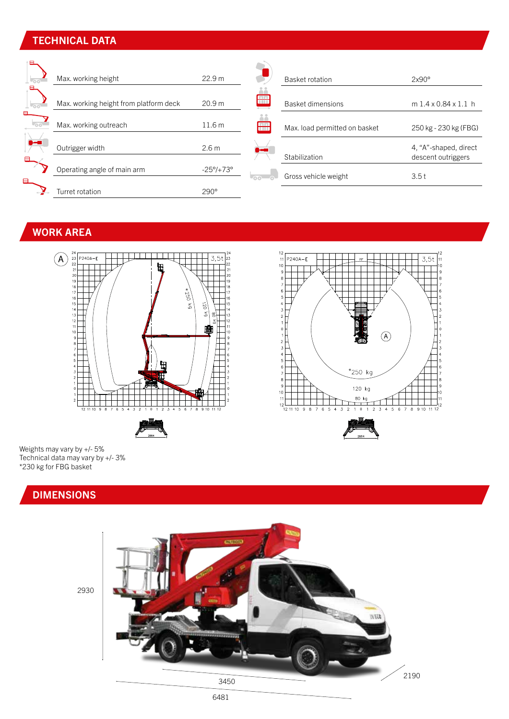### TECHNICAL DATA

| $\sim$ | Max. working height                    | 22.9 m                    |                     | Basket rotation               | $2x90^\circ$                                |
|--------|----------------------------------------|---------------------------|---------------------|-------------------------------|---------------------------------------------|
| . അ    | Max. working height from platform deck | 20.9 m                    |                     | <b>Basket dimensions</b>      | $m1.4 \times 0.84 \times 1.1 h$             |
|        | Max. working outreach                  | 11.6 <sub>m</sub>         |                     | Max. load permitted on basket | 250 kg - 230 kg (FBG)                       |
| ╒╕     | Outrigger width                        | 2.6 <sub>m</sub>          |                     | Stabilization                 | 4, "A"-shaped, direct<br>descent outriggers |
| $\Box$ | Operating angle of main arm            | $-25^{\circ}/+73^{\circ}$ | $\overline{\cdots}$ | Gross vehicle weight          | 3.5t                                        |
|        | Turret rotation                        | 290°                      |                     |                               |                                             |

## WORK AREA





Weights may vary by +/- 5% Technical data may vary by +/- 3% \*230 kg for FBG basket

## DIMENSIONS



2930